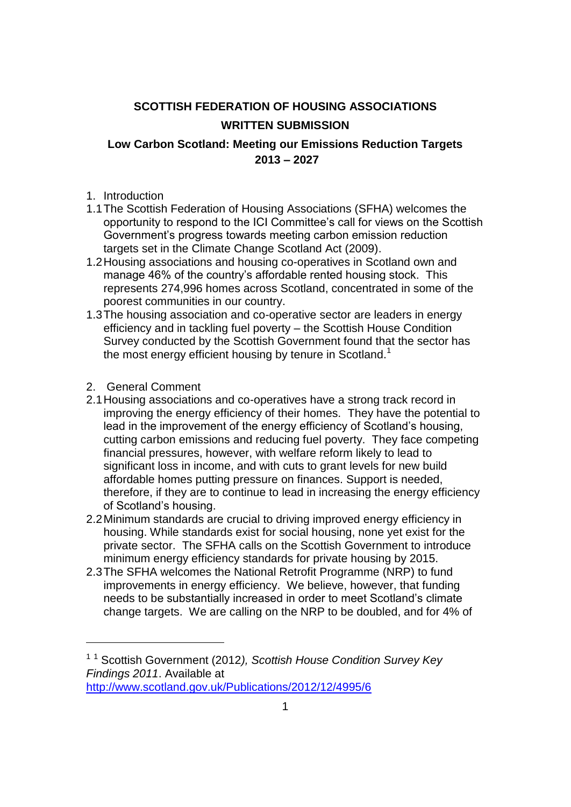## **SCOTTISH FEDERATION OF HOUSING ASSOCIATIONS WRITTEN SUBMISSION**

## **Low Carbon Scotland: Meeting our Emissions Reduction Targets 2013 – 2027**

- 1. Introduction
- 1.1The Scottish Federation of Housing Associations (SFHA) welcomes the opportunity to respond to the ICI Committee's call for views on the Scottish Government's progress towards meeting carbon emission reduction targets set in the Climate Change Scotland Act (2009).
- 1.2Housing associations and housing co-operatives in Scotland own and manage 46% of the country's affordable rented housing stock. This represents 274,996 homes across Scotland, concentrated in some of the poorest communities in our country.
- 1.3The housing association and co-operative sector are leaders in energy efficiency and in tackling fuel poverty – the Scottish House Condition Survey conducted by the Scottish Government found that the sector has the most energy efficient housing by tenure in Scotland.<sup>1</sup>
- 2. General Comment

<u>.</u>

- 2.1Housing associations and co-operatives have a strong track record in improving the energy efficiency of their homes. They have the potential to lead in the improvement of the energy efficiency of Scotland's housing, cutting carbon emissions and reducing fuel poverty. They face competing financial pressures, however, with welfare reform likely to lead to significant loss in income, and with cuts to grant levels for new build affordable homes putting pressure on finances. Support is needed, therefore, if they are to continue to lead in increasing the energy efficiency of Scotland's housing.
- 2.2Minimum standards are crucial to driving improved energy efficiency in housing. While standards exist for social housing, none yet exist for the private sector. The SFHA calls on the Scottish Government to introduce minimum energy efficiency standards for private housing by 2015.
- 2.3The SFHA welcomes the National Retrofit Programme (NRP) to fund improvements in energy efficiency. We believe, however, that funding needs to be substantially increased in order to meet Scotland's climate change targets. We are calling on the NRP to be doubled, and for 4% of

<sup>1</sup> <sup>1</sup> Scottish Government (2012*), Scottish House Condition Survey Key Findings 2011*. Available at <http://www.scotland.gov.uk/Publications/2012/12/4995/6>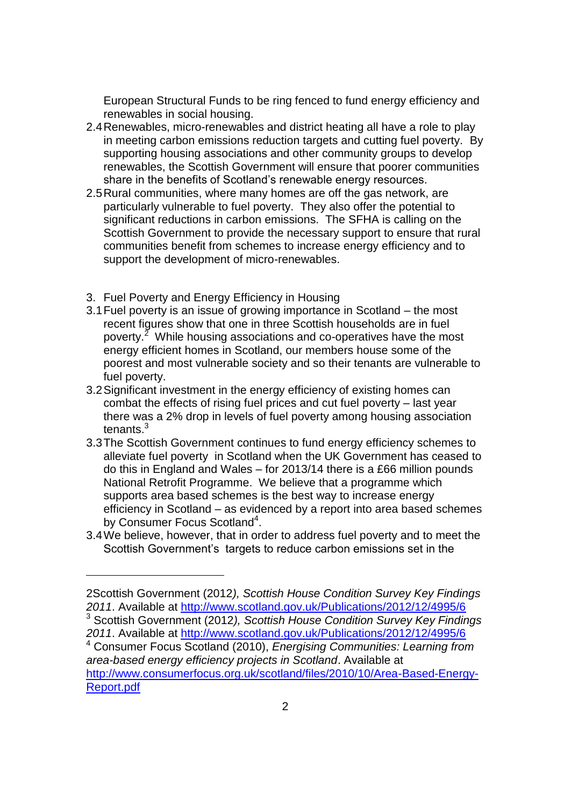European Structural Funds to be ring fenced to fund energy efficiency and renewables in social housing.

- 2.4Renewables, micro-renewables and district heating all have a role to play in meeting carbon emissions reduction targets and cutting fuel poverty. By supporting housing associations and other community groups to develop renewables, the Scottish Government will ensure that poorer communities share in the benefits of Scotland's renewable energy resources.
- 2.5Rural communities, where many homes are off the gas network, are particularly vulnerable to fuel poverty. They also offer the potential to significant reductions in carbon emissions. The SFHA is calling on the Scottish Government to provide the necessary support to ensure that rural communities benefit from schemes to increase energy efficiency and to support the development of micro-renewables.
- 3. Fuel Poverty and Energy Efficiency in Housing

1

- 3.1Fuel poverty is an issue of growing importance in Scotland the most recent figures show that one in three Scottish households are in fuel poverty.<sup>2</sup> While housing associations and co-operatives have the most energy efficient homes in Scotland, our members house some of the poorest and most vulnerable society and so their tenants are vulnerable to fuel poverty.
- 3.2Significant investment in the energy efficiency of existing homes can combat the effects of rising fuel prices and cut fuel poverty – last year there was a 2% drop in levels of fuel poverty among housing association tenants.<sup>3</sup>
- 3.3The Scottish Government continues to fund energy efficiency schemes to alleviate fuel poverty in Scotland when the UK Government has ceased to do this in England and Wales – for 2013/14 there is a £66 million pounds National Retrofit Programme. We believe that a programme which supports area based schemes is the best way to increase energy efficiency in Scotland – as evidenced by a report into area based schemes by Consumer Focus Scotland<sup>4</sup>.
- 3.4We believe, however, that in order to address fuel poverty and to meet the Scottish Government's targets to reduce carbon emissions set in the

<sup>3</sup> Scottish Government (2012*), Scottish House Condition Survey Key Findings 2011*. Available at<http://www.scotland.gov.uk/Publications/2012/12/4995/6>

<sup>2</sup>Scottish Government (2012*), Scottish House Condition Survey Key Findings 2011*. Available at<http://www.scotland.gov.uk/Publications/2012/12/4995/6>

<sup>4</sup> Consumer Focus Scotland (2010), *Energising Communities: Learning from area-based energy efficiency projects in Scotland*. Available at [http://www.consumerfocus.org.uk/scotland/files/2010/10/Area-Based-Energy-](http://www.consumerfocus.org.uk/scotland/files/2010/10/Area-Based-Energy-Report.pdf)[Report.pdf](http://www.consumerfocus.org.uk/scotland/files/2010/10/Area-Based-Energy-Report.pdf)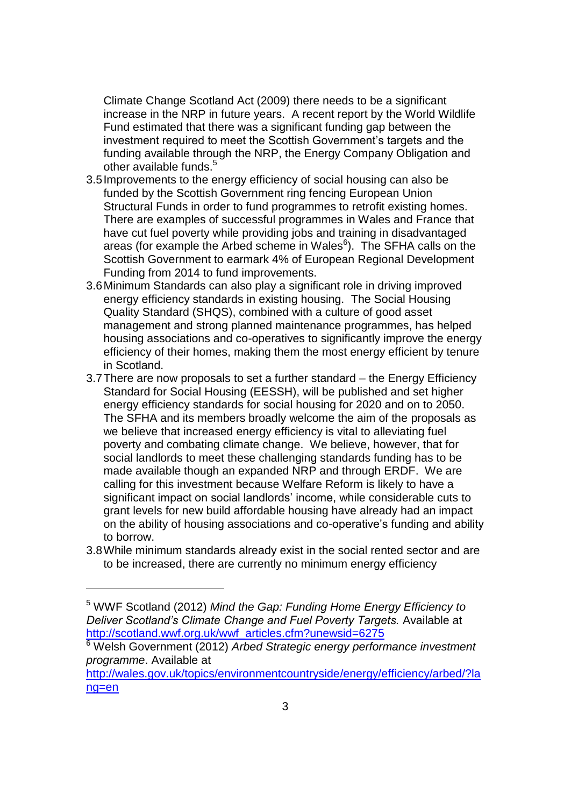Climate Change Scotland Act (2009) there needs to be a significant increase in the NRP in future years. A recent report by the World Wildlife Fund estimated that there was a significant funding gap between the investment required to meet the Scottish Government's targets and the funding available through the NRP, the Energy Company Obligation and other available funds.<sup>5</sup>

- 3.5Improvements to the energy efficiency of social housing can also be funded by the Scottish Government ring fencing European Union Structural Funds in order to fund programmes to retrofit existing homes. There are examples of successful programmes in Wales and France that have cut fuel poverty while providing jobs and training in disadvantaged areas (for example the Arbed scheme in Wales<sup>6</sup>). The SFHA calls on the Scottish Government to earmark 4% of European Regional Development Funding from 2014 to fund improvements.
- 3.6Minimum Standards can also play a significant role in driving improved energy efficiency standards in existing housing. The Social Housing Quality Standard (SHQS), combined with a culture of good asset management and strong planned maintenance programmes, has helped housing associations and co-operatives to significantly improve the energy efficiency of their homes, making them the most energy efficient by tenure in Scotland.
- 3.7There are now proposals to set a further standard the Energy Efficiency Standard for Social Housing (EESSH), will be published and set higher energy efficiency standards for social housing for 2020 and on to 2050. The SFHA and its members broadly welcome the aim of the proposals as we believe that increased energy efficiency is vital to alleviating fuel poverty and combating climate change. We believe, however, that for social landlords to meet these challenging standards funding has to be made available though an expanded NRP and through ERDF. We are calling for this investment because Welfare Reform is likely to have a significant impact on social landlords' income, while considerable cuts to grant levels for new build affordable housing have already had an impact on the ability of housing associations and co-operative's funding and ability to borrow.
- 3.8While minimum standards already exist in the social rented sector and are to be increased, there are currently no minimum energy efficiency

1

<sup>5</sup> WWF Scotland (2012) *Mind the Gap: Funding Home Energy Efficiency to Deliver Scotland's Climate Change and Fuel Poverty Targets.* Available at [http://scotland.wwf.org.uk/wwf\\_articles.cfm?unewsid=6275](http://scotland.wwf.org.uk/wwf_articles.cfm?unewsid=6275)

<sup>6</sup> Welsh Government (2012) *Arbed Strategic energy performance investment programme*. Available at

[http://wales.gov.uk/topics/environmentcountryside/energy/efficiency/arbed/?la](http://wales.gov.uk/topics/environmentcountryside/energy/efficiency/arbed/?lang=en) [ng=en](http://wales.gov.uk/topics/environmentcountryside/energy/efficiency/arbed/?lang=en)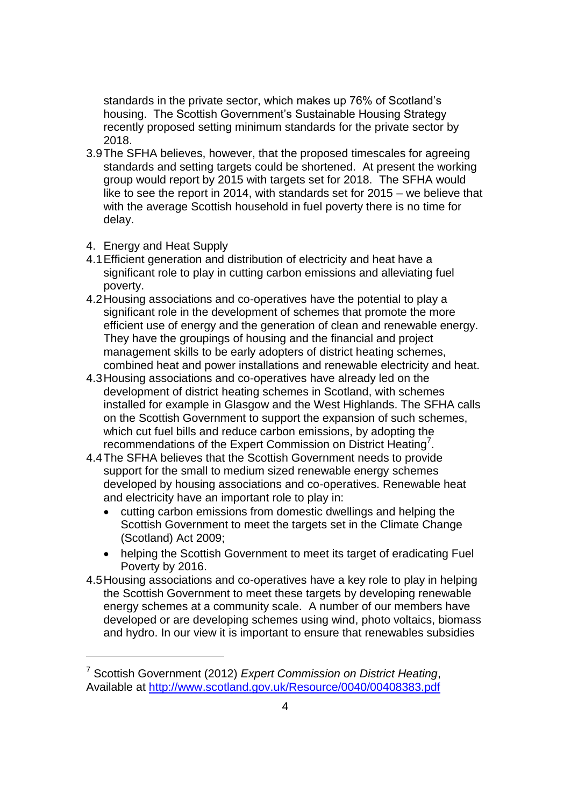standards in the private sector, which makes up 76% of Scotland's housing. The Scottish Government's Sustainable Housing Strategy recently proposed setting minimum standards for the private sector by 2018.

- 3.9The SFHA believes, however, that the proposed timescales for agreeing standards and setting targets could be shortened. At present the working group would report by 2015 with targets set for 2018. The SFHA would like to see the report in 2014, with standards set for 2015 – we believe that with the average Scottish household in fuel poverty there is no time for delay.
- 4. Energy and Heat Supply

1

- 4.1Efficient generation and distribution of electricity and heat have a significant role to play in cutting carbon emissions and alleviating fuel poverty.
- 4.2Housing associations and co-operatives have the potential to play a significant role in the development of schemes that promote the more efficient use of energy and the generation of clean and renewable energy. They have the groupings of housing and the financial and project management skills to be early adopters of district heating schemes, combined heat and power installations and renewable electricity and heat.
- 4.3Housing associations and co-operatives have already led on the development of district heating schemes in Scotland, with schemes installed for example in Glasgow and the West Highlands. The SFHA calls on the Scottish Government to support the expansion of such schemes, which cut fuel bills and reduce carbon emissions, by adopting the recommendations of the Expert Commission on District Heating<sup>7</sup>.
- 4.4The SFHA believes that the Scottish Government needs to provide support for the small to medium sized renewable energy schemes developed by housing associations and co-operatives. Renewable heat and electricity have an important role to play in:
	- cutting carbon emissions from domestic dwellings and helping the Scottish Government to meet the targets set in the Climate Change (Scotland) Act 2009;
	- helping the Scottish Government to meet its target of eradicating Fuel Poverty by 2016.
- 4.5Housing associations and co-operatives have a key role to play in helping the Scottish Government to meet these targets by developing renewable energy schemes at a community scale. A number of our members have developed or are developing schemes using wind, photo voltaics, biomass and hydro. In our view it is important to ensure that renewables subsidies

<sup>7</sup> Scottish Government (2012) *Expert Commission on District Heating*, Available at<http://www.scotland.gov.uk/Resource/0040/00408383.pdf>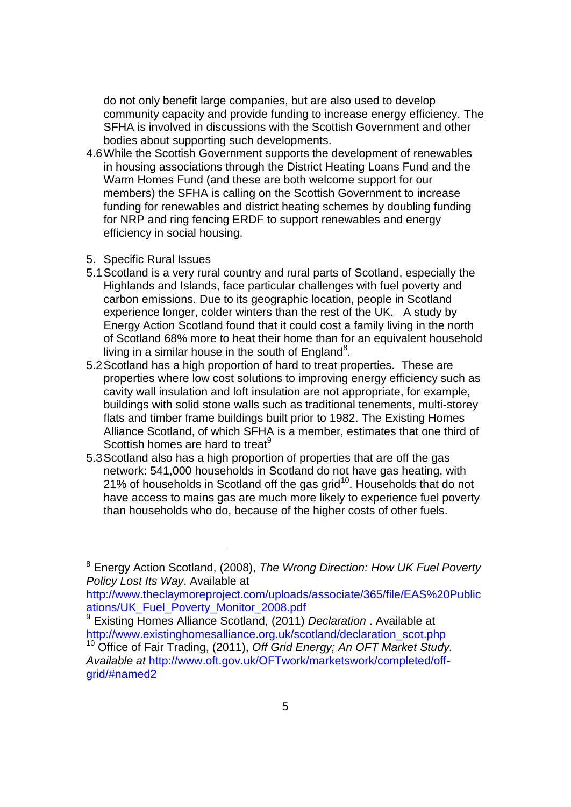do not only benefit large companies, but are also used to develop community capacity and provide funding to increase energy efficiency. The SFHA is involved in discussions with the Scottish Government and other bodies about supporting such developments.

- 4.6While the Scottish Government supports the development of renewables in housing associations through the District Heating Loans Fund and the Warm Homes Fund (and these are both welcome support for our members) the SFHA is calling on the Scottish Government to increase funding for renewables and district heating schemes by doubling funding for NRP and ring fencing ERDF to support renewables and energy efficiency in social housing.
- 5. Specific Rural Issues

1

- 5.1Scotland is a very rural country and rural parts of Scotland, especially the Highlands and Islands, face particular challenges with fuel poverty and carbon emissions. Due to its geographic location, people in Scotland experience longer, colder winters than the rest of the UK. A study by Energy Action Scotland found that it could cost a family living in the north of Scotland 68% more to heat their home than for an equivalent household living in a similar house in the south of England<sup>8</sup>.
- 5.2Scotland has a high proportion of hard to treat properties. These are properties where low cost solutions to improving energy efficiency such as cavity wall insulation and loft insulation are not appropriate, for example, buildings with solid stone walls such as traditional tenements, multi-storey flats and timber frame buildings built prior to 1982. The Existing Homes Alliance Scotland, of which SFHA is a member, estimates that one third of Scottish homes are hard to treat<sup>9</sup>
- 5.3Scotland also has a high proportion of properties that are off the gas network: 541,000 households in Scotland do not have gas heating, with 21% of households in Scotland off the gas grid $10$ . Households that do not have access to mains gas are much more likely to experience fuel poverty than households who do, because of the higher costs of other fuels.

<sup>9</sup> Existing Homes Alliance Scotland, (2011) *Declaration* . Available at http://www.existinghomesalliance.org.uk/scotland/declaration\_scot.php

<sup>8</sup> Energy Action Scotland, (2008), *The Wrong Direction: How UK Fuel Poverty Policy Lost Its Way*. Available at

http://www.theclaymoreproject.com/uploads/associate/365/file/EAS%20Public ations/UK\_Fuel\_Poverty\_Monitor\_2008.pdf

<sup>10</sup> Office of Fair Trading, (2011), *Off Grid Energy; An OFT Market Study. Available at* http://www.oft.gov.uk/OFTwork/marketswork/completed/offgrid/#named2